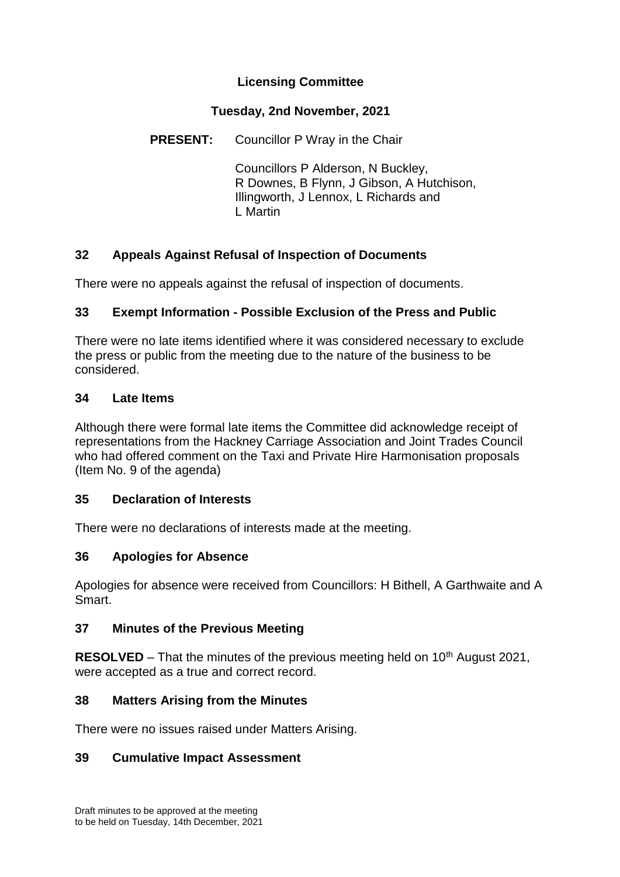# **Licensing Committee**

### **Tuesday, 2nd November, 2021**

**PRESENT:** Councillor P Wray in the Chair

Councillors P Alderson, N Buckley, R Downes, B Flynn, J Gibson, A Hutchison, Illingworth, J Lennox, L Richards and L Martin

# **32 Appeals Against Refusal of Inspection of Documents**

There were no appeals against the refusal of inspection of documents.

## **33 Exempt Information - Possible Exclusion of the Press and Public**

There were no late items identified where it was considered necessary to exclude the press or public from the meeting due to the nature of the business to be considered.

#### **34 Late Items**

Although there were formal late items the Committee did acknowledge receipt of representations from the Hackney Carriage Association and Joint Trades Council who had offered comment on the Taxi and Private Hire Harmonisation proposals (Item No. 9 of the agenda)

#### **35 Declaration of Interests**

There were no declarations of interests made at the meeting.

## **36 Apologies for Absence**

Apologies for absence were received from Councillors: H Bithell, A Garthwaite and A Smart.

#### **37 Minutes of the Previous Meeting**

**RESOLVED** – That the minutes of the previous meeting held on 10<sup>th</sup> August 2021, were accepted as a true and correct record.

## **38 Matters Arising from the Minutes**

There were no issues raised under Matters Arising.

## **39 Cumulative Impact Assessment**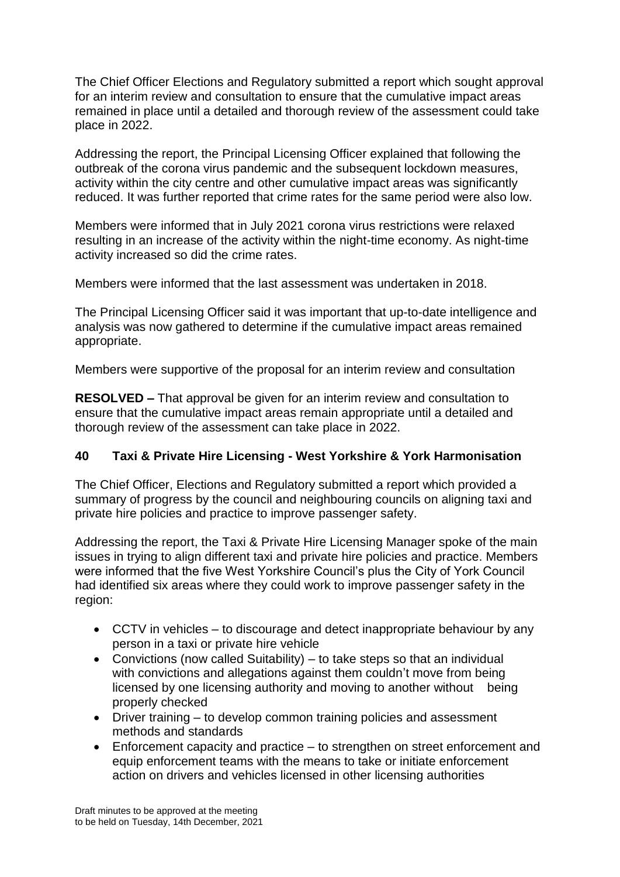The Chief Officer Elections and Regulatory submitted a report which sought approval for an interim review and consultation to ensure that the cumulative impact areas remained in place until a detailed and thorough review of the assessment could take place in 2022.

Addressing the report, the Principal Licensing Officer explained that following the outbreak of the corona virus pandemic and the subsequent lockdown measures, activity within the city centre and other cumulative impact areas was significantly reduced. It was further reported that crime rates for the same period were also low.

Members were informed that in July 2021 corona virus restrictions were relaxed resulting in an increase of the activity within the night-time economy. As night-time activity increased so did the crime rates.

Members were informed that the last assessment was undertaken in 2018.

The Principal Licensing Officer said it was important that up-to-date intelligence and analysis was now gathered to determine if the cumulative impact areas remained appropriate.

Members were supportive of the proposal for an interim review and consultation

**RESOLVED –** That approval be given for an interim review and consultation to ensure that the cumulative impact areas remain appropriate until a detailed and thorough review of the assessment can take place in 2022.

#### **40 Taxi & Private Hire Licensing - West Yorkshire & York Harmonisation**

The Chief Officer, Elections and Regulatory submitted a report which provided a summary of progress by the council and neighbouring councils on aligning taxi and private hire policies and practice to improve passenger safety.

Addressing the report, the Taxi & Private Hire Licensing Manager spoke of the main issues in trying to align different taxi and private hire policies and practice. Members were informed that the five West Yorkshire Council's plus the City of York Council had identified six areas where they could work to improve passenger safety in the region:

- CCTV in vehicles to discourage and detect inappropriate behaviour by any person in a taxi or private hire vehicle
- Convictions (now called Suitability) to take steps so that an individual with convictions and allegations against them couldn't move from being licensed by one licensing authority and moving to another without being properly checked
- Driver training to develop common training policies and assessment methods and standards
- Enforcement capacity and practice to strengthen on street enforcement and equip enforcement teams with the means to take or initiate enforcement action on drivers and vehicles licensed in other licensing authorities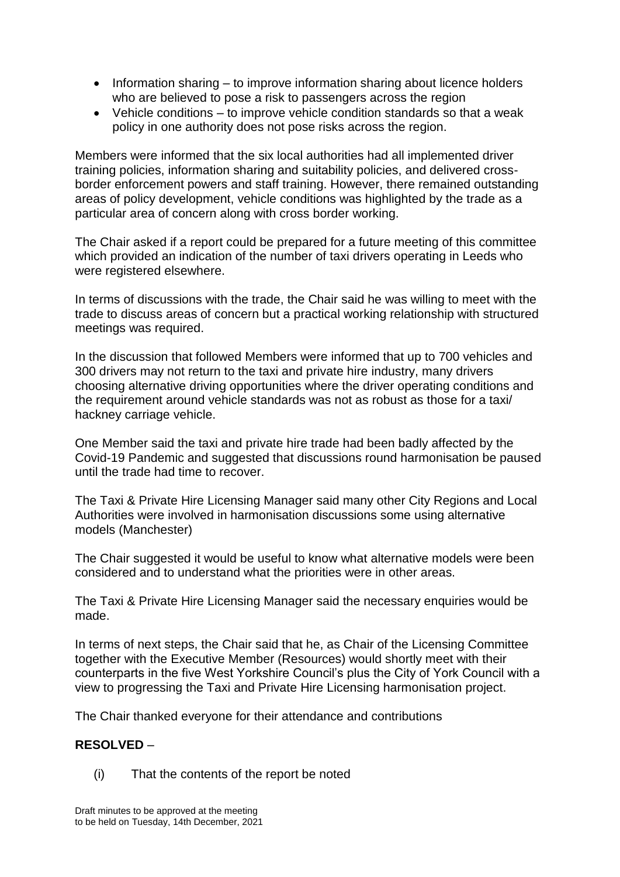- Information sharing to improve information sharing about licence holders who are believed to pose a risk to passengers across the region
- Vehicle conditions to improve vehicle condition standards so that a weak policy in one authority does not pose risks across the region.

Members were informed that the six local authorities had all implemented driver training policies, information sharing and suitability policies, and delivered crossborder enforcement powers and staff training. However, there remained outstanding areas of policy development, vehicle conditions was highlighted by the trade as a particular area of concern along with cross border working.

The Chair asked if a report could be prepared for a future meeting of this committee which provided an indication of the number of taxi drivers operating in Leeds who were registered elsewhere.

In terms of discussions with the trade, the Chair said he was willing to meet with the trade to discuss areas of concern but a practical working relationship with structured meetings was required.

In the discussion that followed Members were informed that up to 700 vehicles and 300 drivers may not return to the taxi and private hire industry, many drivers choosing alternative driving opportunities where the driver operating conditions and the requirement around vehicle standards was not as robust as those for a taxi/ hackney carriage vehicle.

One Member said the taxi and private hire trade had been badly affected by the Covid-19 Pandemic and suggested that discussions round harmonisation be paused until the trade had time to recover.

The Taxi & Private Hire Licensing Manager said many other City Regions and Local Authorities were involved in harmonisation discussions some using alternative models (Manchester)

The Chair suggested it would be useful to know what alternative models were been considered and to understand what the priorities were in other areas.

The Taxi & Private Hire Licensing Manager said the necessary enquiries would be made.

In terms of next steps, the Chair said that he, as Chair of the Licensing Committee together with the Executive Member (Resources) would shortly meet with their counterparts in the five West Yorkshire Council's plus the City of York Council with a view to progressing the Taxi and Private Hire Licensing harmonisation project.

The Chair thanked everyone for their attendance and contributions

#### **RESOLVED** –

(i) That the contents of the report be noted